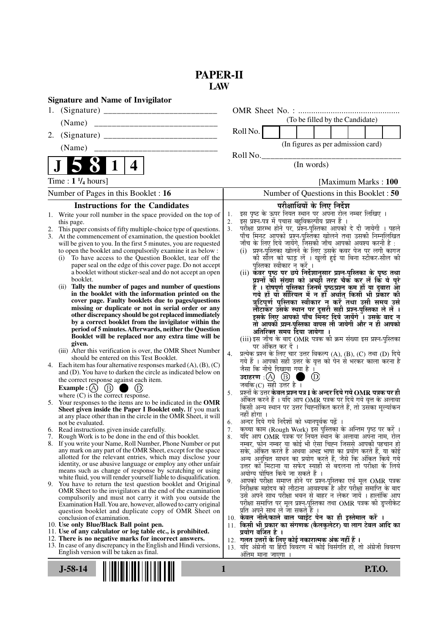## **PAPER-II LAW**

| <b>Signature and Name of Invigilator</b>                                                                                                 |                                                                                                                                                  |
|------------------------------------------------------------------------------------------------------------------------------------------|--------------------------------------------------------------------------------------------------------------------------------------------------|
| 1.                                                                                                                                       |                                                                                                                                                  |
| (Name)                                                                                                                                   | (To be filled by the Candidate)                                                                                                                  |
| 2.                                                                                                                                       | Roll No.                                                                                                                                         |
|                                                                                                                                          | (In figures as per admission card)                                                                                                               |
|                                                                                                                                          | Roll No.                                                                                                                                         |
| $\mathbf 1$<br>4                                                                                                                         | (In words)                                                                                                                                       |
| Time : $1 \frac{1}{4}$ hours]                                                                                                            | [Maximum Marks: 100]                                                                                                                             |
| Number of Pages in this Booklet: 16                                                                                                      | Number of Questions in this Booklet : 50                                                                                                         |
| <b>Instructions for the Candidates</b>                                                                                                   | परीक्षार्थियों के लिए निर्देश                                                                                                                    |
| Write your roll number in the space provided on the top of<br>1.                                                                         | इस पृष्ठ के ऊपर नियत स्थान पर अपना रोल नम्बर लिखिए ।<br>1.<br>इस प्रश्न-पत्र में पचास बहुविकल्पीय प्रश्न हैं ।<br>2.                             |
| this page.<br>This paper consists of fifty multiple-choice type of questions.<br>2.                                                      | परीक्षा प्रारम्भ होने पर, प्रश्न-पुस्तिका आपको दे दी जायेगी । पहले<br>पाँच मिनट आपको प्रश्न-पुस्तिका खोलने तथा उसकी निम्नलिखित<br>3 <sub>1</sub> |
| 3. At the commencement of examination, the question booklet                                                                              |                                                                                                                                                  |
| will be given to you. In the first 5 minutes, you are requested<br>to open the booklet and compulsorily examine it as below :            | जाँच के लिए दिये जायेंगे, जिसकी जाँच आपको अवश्य करनी है :<br>(i) प्रश्न-पुस्तिका खोलने के लिए उसके कवर पेज पर लगी कागज                           |
| To have access to the Question Booklet, tear off the<br>(i)                                                                              | की सील को फाड़ लें । खुली हुई या बिना स्टीकर-सील की                                                                                              |
| paper seal on the edge of this cover page. Do not accept<br>a booklet without sticker-seal and do not accept an open                     | पुस्तिका स्वीकार न करें ।<br>(ii) कवर पृष्ठ पर छपे निर्देशानुसार प्रश्न-पुस्तिका के पृष्ठ तथा                                                    |
| booklet.                                                                                                                                 | प्रश्नों की संख्या को अच्छों तरह चैक कर लें कि ये पूरे                                                                                           |
| Tally the number of pages and number of questions<br>(ii)                                                                                | ू<br>है । दोषपूर्ण पुस्तिका जिनमें पृष्ठ/प्रश्न कम हों या दुबारा आ<br>गये हों या सीरियल में न हो अर्थात् किसी भी प्रकार की                       |
| in the booklet with the information printed on the<br>cover page. Faulty booklets due to pages/questions                                 | त्रुटिपूर्ण पुस्तिका स्वीकार न करें तथा उसी समय उसे                                                                                              |
| missing or duplicate or not in serial order or any                                                                                       | लौटाकर उसके स्थान पर दूसरी सही प्रश्न-पुस्तिका ले लें ।                                                                                          |
| other discrepancy should be got replaced immediately<br>by a correct booklet from the invigilator within the                             | इसके लिए आपको पाँच मिनट दिये जायेंगे ँ। उसके बाद न                                                                                               |
| period of 5 minutes. Afterwards, neither the Question                                                                                    | तो आपकी प्रश्न-पुस्तिका वापस ली जायेगी और न ही आपको<br>अतिरिक्त समय दिया जायेगा ।                                                                |
| Booklet will be replaced nor any extra time will be                                                                                      | (iii) इस जाँच के बाद OMR पत्रक की क्रम संख्या इस प्रश्न-पुस्तिका                                                                                 |
| given.<br>(iii) After this verification is over, the OMR Sheet Number                                                                    | पर अंकित कर दें ।                                                                                                                                |
| should be entered on this Test Booklet.                                                                                                  | प्रत्येक प्रश्न के लिए चार उत्तर विकल्प (A), (B), (C) तथा (D) दिये<br>4.<br>गये हैं । आपको सही उत्तर के वृत्त को पेन से भरकर काला करना है        |
| 4. Each item has four alternative responses marked $(A)$ , $(B)$ , $(C)$<br>and (D). You have to darken the circle as indicated below on | जैसा कि नीचे दिखाया गया है ।                                                                                                                     |
| the correct response against each item.                                                                                                  | उदाहरण $\alpha$ $\alpha$ $\beta$ $\beta$<br>$\circled{D}$                                                                                        |
| Example : $(A)$ $(B)$<br>$\left(\mathrm{D}\right)$                                                                                       | जबकि(C) सही उत्तर है ।<br>प्रश्नों के उत्तर केवल प्रश्न पत्र I के अन्दर दिये गये OMR पत्रक पर ही<br>5.                                           |
| where $(C)$ is the correct response.<br>5. Your responses to the items are to be indicated in the OMR                                    | अंकित करने हैं । यदि आप OMR पत्रक पर दिये गये वृत्त के अलावा                                                                                     |
| Sheet given inside the Paper I Booklet only. If you mark                                                                                 | किसी अन्य स्थान पर उत्तर चिह्नांकित करते हैं, तो उसका मूल्यांकन                                                                                  |
| at any place other than in the circle in the OMR Sheet, it will<br>not be evaluated.                                                     | नहीं होगा ।<br>अन्दर दिये गये निर्देशों को ध्यानपूर्वक पढ़ें ।<br>6.                                                                             |
| 6. Read instructions given inside carefully.                                                                                             | कच्चा काम (Rough Work) इस पुस्तिका के अन्तिम पृष्ठ पर करें ।<br>7.                                                                               |
| Rough Work is to be done in the end of this booklet.<br>8. If you write your Name, Roll Number, Phone Number or put                      | र्याद आप OMR पत्रक पर नियत स्थान के अलावा अपना नाम, रोल<br>8.                                                                                    |
| any mark on any part of the OMR Sheet, except for the space                                                                              | नम्बर, फोन नम्बर या कोई भी ऐसा चिह्न जिससे आपकी पहचान हो<br>सके, अंकित करते हैं अथवा अभद्र भाषा का प्रयोग करते हैं, या कोई                       |
| allotted for the relevant entries, which may disclose your                                                                               | अन्य अनुचित साधन का प्रयोग करते हैं, जैसे कि अंकित किये गये                                                                                      |
| identity, or use abusive language or employ any other unfair<br>means such as change of response by scratching or using                  | उत्तर को मिटाना या सफेद स्याही से बदलना तो परीक्षा के लिये<br>अयोग्य घोषित किये जा सकते हैं ।                                                    |
| white fluid, you will render yourself liable to disqualification.                                                                        | आपको परीक्षा समाप्त होने पर प्रश्न-पुस्तिका एवं मूल OMR पत्रक<br>9.                                                                              |
| 9. You have to return the test question booklet and Original<br>OMR Sheet to the invigilators at the end of the examination              | निरीक्षक महोदय को लौटाना आवश्यक है और परीक्षा समाप्ति के बाद                                                                                     |
| compulsorily and must not carry it with you outside the                                                                                  | उसे अपने साथ परीक्षा भवन से बाहर न लेकर जायें । हालांकि आप<br>परीक्षा समाप्ति पर मूल प्रश्न-पुस्तिका तथा OMR पत्रक की डुप्लीकेट                  |
| Examination Hall. You are, however, allowed to carry original<br>question booklet and duplicate copy of OMR Sheet on                     | प्रति अपने साथ ले जा सकते हैं ।                                                                                                                  |
| conclusion of examination.                                                                                                               | 10. केवल नीले/काले बाल प्वाईंट पेन का ही इस्तेमाल करें ।                                                                                         |
| 10. Use only Blue/Black Ball point pen.<br>11. Use of any calculator or log table etc., is prohibited.                                   | 11. किसी भी प्रकार का संगणक (कैलकुलेटर) या लाग टेबल आदि का<br>प्रयोग वर्जित है ।                                                                 |
| 12. There is no negative marks for incorrect answers.                                                                                    | 12.  गलत उत्तरों के लिए कोई नकारात्मक अंक नहीं हैं ।                                                                                             |
| 13. In case of any discrepancy in the English and Hindi versions,<br>English version will be taken as final.                             | 13. यदि अंग्रेजी या हिंदी विवरण में कोई विसंगति हो, तो अंग्रेजी विवरण                                                                            |
|                                                                                                                                          | अतिम माना जाएगा ।                                                                                                                                |
| $J-58-14$                                                                                                                                | <b>P.T.O.</b><br>1                                                                                                                               |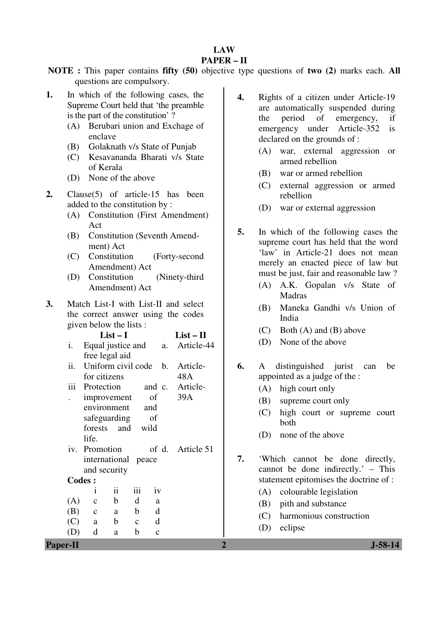# **LAW**

## **PAPER – II**

**NOTE :** This paper contains **fifty (50)** objective type questions of **two (2)** marks each. **All** questions are compulsory.

- **1.** In which of the following cases, the Supreme Court held that 'the preamble is the part of the constitution' ?
	- (A) Berubari union and Exchage of enclave
	- (B) Golaknath v/s State of Punjab
	- (C) Kesavananda Bharati v/s State of Kerala
	- (D) None of the above
- **2.** Clause(5) of article-15 has been added to the constitution by :
	- (A) Constitution (First Amendment) Act
	- (B) Constitution (Seventh Amendment) Act
	- (C) Constitution (Forty-second Amendment) Act
	- (D) Constitution (Ninety-third Amendment) Act
- **3.** Match List-I with List-II and select the correct answer using the codes given below the lists :

|     |                     | $List-I$            |              |              | $List-II$                       |
|-----|---------------------|---------------------|--------------|--------------|---------------------------------|
| i.  |                     |                     |              |              | Equal justice and a. Article-44 |
|     | free legal aid      |                     |              |              |                                 |
| ii. |                     |                     |              |              | Uniform civil code b. Article-  |
|     | for citizens        |                     |              |              | 48A                             |
|     |                     |                     |              |              | iii Protection and c. Article-  |
|     | improvement         |                     |              | of           | 39A                             |
|     | environment and     |                     |              |              |                                 |
|     | safeguarding of     |                     |              |              |                                 |
|     | forests and wild    |                     |              |              |                                 |
|     | life.               |                     |              |              |                                 |
|     | iv. Promotion       |                     |              |              | of d. Article 51                |
|     | international peace |                     |              |              |                                 |
|     | and security        |                     |              |              |                                 |
|     | <b>Codes:</b>       |                     |              |              |                                 |
|     | Ť                   | $\ddot{\mathbf{i}}$ | iii          | iv           |                                 |
| (A) | $\mathbf{c}$        | $\mathbf b$         | d            | a            |                                 |
| (B) | $\overline{c}$      | a a                 | $\mathbf{b}$ | d            |                                 |
|     | $(C)$ a b           |                     | $\mathbf{C}$ | d            |                                 |
|     | $\mathbf d$         | a                   | b            | $\mathbf{c}$ |                                 |

- **4.** Rights of a citizen under Article-19 are automatically suspended during the period of emergency, if emergency under Article-352 is declared on the grounds of :
	- (A) war, external aggression or armed rebellion
	- (B) war or armed rebellion
	- (C) external aggression or armed rebellion
	- (D) war or external aggression
- **5.** In which of the following cases the supreme court has held that the word 'law' in Article-21 does not mean merely an enacted piece of law but must be just, fair and reasonable law ?
	- (A) A.K. Gopalan v/s State of Madras
	- (B) Maneka Gandhi v/s Union of India
	- (C) Both (A) and (B) above
	- (D) None of the above
- **6.** A distinguished jurist can be appointed as a judge of the :
	- (A) high court only
	- (B) supreme court only
	- (C) high court or supreme court both
	- (D) none of the above
- **7.** 'Which cannot be done directly, cannot be done indirectly.' – This statement epitomises the doctrine of :
	- (A) colourable legislation
	- (B) pith and substance
	- (C) harmonious construction
	- (D) eclipse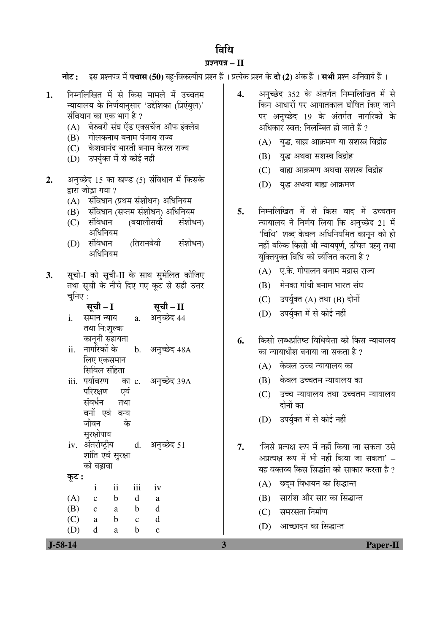## विधि

## ¯ÖÏ¿®Ö¯Ö¡Ö **– II**

**नोट:** इस प्रश्नपत्र में **पचास (50)** बहु-विकल्पीय प्रश्न हैं । प्रत्येक प्रश्न के **दो (2)** अंक हैं । **सभी** प्रश्न अनिवार्य हैं ।

- 1. निम्नलिखित में से किस मामले में उच्चतम <u>न्यायालय के निर्णयानसार 'उद्देशिका (प्रिएंबुल)'</u> संविधान का एक भाग है ?
	- (A) बेरुबरी संघ ऐंड एक्सचेंज ऑफ इंक्लेव
	- $(B)$  गोलकनाथ बनाम पंजाब राज्य
	- (C) केशवानंद भारती बनाम केरल राज्य
	- (D) उपर्युक्त में से कोई नहीं
- **2.** अनुच्छेद 15 का खण्ड (5) संविधान में किसके द्रारा जोडा गया ?
	- $(A)$  संविधान (प्रथम संशोधन) अधिनियम
	- (B) संविधान (सप्तम संशोधन) अधिनियम
	- (C) संविधान (बयालीसवाँ संशोधन) अधिनियम
	- (D) संविधान (तिरानबेवाँ संशोधन) अधिनियम
- **3.** सची-I को सची-II के साथ समेलित कीजिए तथा सूची के नीचे दिए गए कूट से सही उत्तर चनिए  $\cdot$

|                       | सूची - I                    | सूची – II       |
|-----------------------|-----------------------------|-----------------|
| i.                    | समान न्याय                  | a. अनुच्छेद 44  |
|                       | तथा नि:शुल्क                |                 |
|                       | कानूनी सहायता               |                 |
| $\ddot{\mathbf{i}}$ . | नागरिकों के                 | b. अनुच्छेद 48A |
|                       | लिए एकसमान                  |                 |
|                       | सिविल संहिता                |                 |
| iii.                  | पर्यावरण का c. अनुच्छेद 39A |                 |
|                       | परिरक्षण एवं                |                 |
|                       | संवर्धन तथा                 |                 |
|                       | वनों एवं वन्य               |                 |
|                       | जीवन<br>के                  |                 |
|                       | सुरक्षोपाय                  |                 |
|                       | iv. अंतर्राष्ट्रीय          | d. अनुच्छेद 51  |
|                       | शांति एवं सुरक्षा           |                 |
|                       | को बढावा                    |                 |
| कूट :                 |                             |                 |

 i ii iii iv  $(A)$  c b d a (B) c a b d (C) a b c d (D) d a b c

- 4. अनुच्छेद 352 के अंतर्गत निम्नलिखित में से किन आधारों पर आपातकाल घोषित किए जाने पर अनुच्छेद 19 के अंतर्गत नागरिकों के अधिकार स्वत: निलम्बित हो जाते हैं ?
	- $(A)$  युद्ध, बाह्य आक्रमण या सशस्त्र विद्रोह
	- (B) युद्ध अथवा सशस्त्र विद्रोह
	- $(C)$  बाह्य आक्रमण अथवा सशस्त्र विद्रोह
	- (D) युद्ध अथवा बाह्य आक्रमण
- 5. निम्नलिखित में से किस वाद में उच्चतम <u>न्यायालय ने निर्णय लिया कि अनुच्छेद 21 में</u> 'विधि' शब्द केवल अधिनियमित कानून को ही नहीं बल्कि किसी भी न्यायपूर्ण, उचित ऋज<u>ू</u> तथा यक्तियक्त विधि को व्यंजित करता है ?
	- $(A)$  ए.के. गोपालन बनाम मद्रास राज्य
	- $(B)$   $\vec{B}$  मेनका गांधी बनाम भारत संघ
	- $(C)$  उपर्युक्त  $(A)$  तथा  $(B)$  दोनों
	- (D) उपर्युक्त में से कोई नहीं
- **6.** किसी लब्धप्रतिष्ठ विधिवेत्ता को किस न्यायालय का न्यायाधीश बनाया जा सकता है ?
	- (A) केवल उच्च न्यायालय का
	- (B) केवल उच्चतम न्यायालय का
	- $(C)$  उच्च न्यायालय तथा उच्चतम न्यायालय दोनों का
	- (D) उपर्युक्त में से कोई नहीं
- 7. 'जिसे प्रत्यक्ष रूप में नहीं किया जा सकता उसे अप्रत्यक्ष रूप में भी नहीं किया जा सकता' – यह वक्तव्य किस सिद्धांत को साकार करता है ?
	- (A) छदम विधायन का सिद्धान्त
	- (B) सारांश और सार का सिद्धान्त
	- $(C)$  समरसता निर्माण
	- $(D)$  आच्छादन का सिद्धान्त

 **J-58-14 3 Paper-II**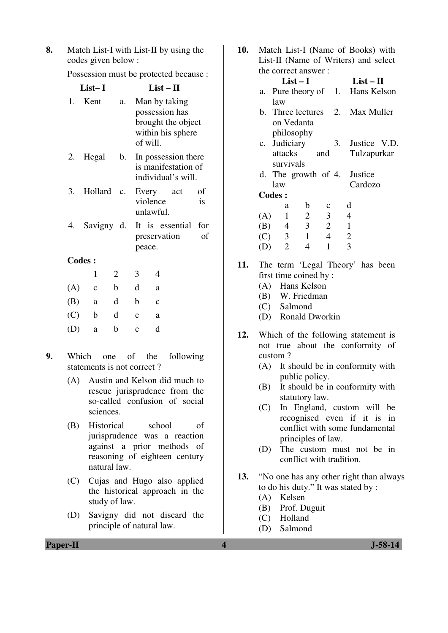**8.** Match List-I with List-II by using the codes given below :

Possession must be protected because :

|               | List-I      |                 |              | $List-II$                                                                              |           |
|---------------|-------------|-----------------|--------------|----------------------------------------------------------------------------------------|-----------|
| 1.            | Kent        | a.              |              | Man by taking<br>possession has<br>brought the object<br>within his sphere<br>of will. |           |
| 2.            | Hegal       | b.              |              | In possession there<br>is manifestation of<br>individual's will.                       |           |
| 3.            | Hollard     | $\mathcal{C}$ . |              | Every<br>act<br>violence<br>unlawful.                                                  | οf<br>is  |
| 4.            | Savigny d.  |                 |              | It is essential<br>preservation<br>peace.                                              | for<br>of |
| <b>Codes:</b> |             |                 |              |                                                                                        |           |
|               | 1           | 2               | 3            | 4                                                                                      |           |
| (A)           | $\mathbf c$ | b               | d            | a                                                                                      |           |
| (B)           | a           | d               | b            | $\mathbf{c}$                                                                           |           |
| (C)           | b           | d               | $\mathbf{C}$ | a                                                                                      |           |
| (D)           | a           | b               | $\ddot{c}$   | d                                                                                      |           |

- **9.** Which one of the following statements is not correct ?
	- (A) Austin and Kelson did much to rescue jurisprudence from the so-called confusion of social sciences.
	- (B) Historical school of jurisprudence was a reaction against a prior methods of reasoning of eighteen century natural law.
	- (C) Cujas and Hugo also applied the historical approach in the study of law.
	- (D) Savigny did not discard the principle of natural law.

**10.** Match List-I (Name of Books) with List-II (Name of Writers) and select the correct answer :

|     |                | $List-I$       |                         | $List-II$                       |  |
|-----|----------------|----------------|-------------------------|---------------------------------|--|
| a.  |                |                |                         | Pure theory of 1. Hans Kelson   |  |
|     | law            |                |                         |                                 |  |
|     |                |                |                         | b. Three lectures 2. Max Muller |  |
|     |                | on Vedanta     |                         |                                 |  |
|     |                | philosophy     |                         |                                 |  |
|     |                | c. Judiciary   |                         | 3. Justice V.D.                 |  |
|     |                | attacks and    |                         | Tulzapurkar                     |  |
|     | survivals      |                |                         |                                 |  |
|     |                |                |                         | d. The growth of 4. Justice     |  |
|     | law            |                |                         | Cardozo                         |  |
|     | <b>Codes:</b>  |                |                         |                                 |  |
|     | a              | b              | $\mathbf c$             | d                               |  |
| (A) | $\mathbf{1}$   | $\overline{2}$ | $\overline{\mathbf{3}}$ | $\overline{4}$                  |  |
|     |                | $(B)$ 4 3      | $\overline{2}$          | $\mathbf{1}$                    |  |
|     | $(C)$ 3        | $\overline{1}$ | $\overline{4}$          | $\overline{2}$                  |  |
| (D) | $\overline{2}$ | 4              | 1                       | 3                               |  |

- **11.** The term 'Legal Theory' has been first time coined by :
	- (A) Hans Kelson
	- (B) W. Friedman
	- (C) Salmond
	- (D) Ronald Dworkin
- **12.** Which of the following statement is not true about the conformity of custom ?
	- (A) It should be in conformity with public policy.
	- (B) It should be in conformity with statutory law.
	- (C) In England, custom will be recognised even if it is in conflict with some fundamental principles of law.
	- (D) The custom must not be in conflict with tradition.
- **13.** "No one has any other right than always to do his duty." It was stated by :
	- (A) Kelsen
	- (B) Prof. Duguit
	- (C) Holland
	- (D) Salmond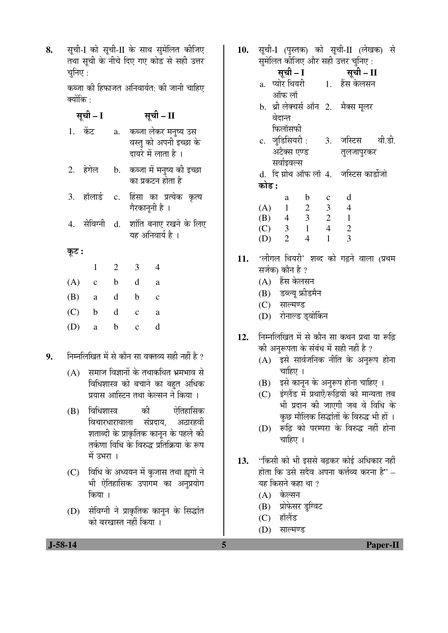8. सृची-I को सृची-II के साथ सुमेलित कीजिए तथा सूची के नीचे दिए गए कोड से सही उत्तर चनिए $\,$  :

> कब्जा की हिफाजत अनिवार्यत: की जानी चाहिए क्योंकि $\,\cdot\,$

|       | सूची – I     |                | सूची – II                                                             |  |
|-------|--------------|----------------|-----------------------------------------------------------------------|--|
|       | 1. केंट      | a.             | कब्जा लेकर मनुष्य उस<br>वस्तु को अपनी इच्छा के<br>दायरे में लाता है । |  |
|       | 2. हेगेल     | b.             | कब्जा में मनुष्य की इच्छा<br>का प्रकटन होता है                        |  |
| 3.    | हॉलार्ड      | $\mathbf{c}$ . | हिंसा का प्रत्येक कृत्य<br>गैरकानूनी है ।                             |  |
| 4.    | सेविग्नी     | d.             | शांति बनाए रखने के लिए<br>यह अनिवार्य है ।                            |  |
| कूट : |              |                |                                                                       |  |
|       | $\mathbf{1}$ | $\overline{2}$ | 3<br>4                                                                |  |
| (A)   | $\mathbf{C}$ | b              | d<br>a                                                                |  |
| (B)   | a            | d              | b<br>$\ddot{c}$                                                       |  |
| (C)   | b            | d              | $\mathbf c$<br>a                                                      |  |
| (D)   | a            | b              | d<br>c                                                                |  |

9. • निम्नलिखित में से कौन सा वक्तव्य सही नहीं है ?

- $(A)$  समाज विज्ञानों के तथाकथित भ्रमभाव से विधिशास्त्र को बचाने का बहुत अधिक प्रयास आस्टिन तथा केल्सन ने किया ।
- (B) विधिशास्त्र को ऐतिहासिक विचारधारावाला संप्रदाय. अठारहवीं शताब्दी के प्राकृतिक कानन के पहले की तर्कणा विधि के विरुद्ध प्रतिक्रिया के रूप  $\overrightarrow{H}$  उभरा $\overrightarrow{H}$
- (C) विधि के अध्ययन में कुजास तथा ह्यूगो ने भी ऐतिहासिक उपागम का अनुप्रयोग किया ।
- (D) सेविग्नी ने प्राकृतिक कानून के सिद्धांत को बरखास्त नहीं किया ।

10. सूची-I (पुस्तक) को सूची-II (लेखक) से सुमेलित कीजिए और सही उत्तर चुनिए :

|       |                |                |                | सुमालत कााजए आर सहा उत्तर चानए :                  |  |
|-------|----------------|----------------|----------------|---------------------------------------------------|--|
|       | सूची – I       |                |                | सूची – II                                         |  |
|       |                |                |                | a. प्योर <sup>ि</sup> थयरी       1.    हेंस केलसन |  |
|       | ऑफ लॉ          |                |                |                                                   |  |
|       |                |                |                | b. श्री लेक्चर्स ऑन 2.   मैक्स मूलर               |  |
|       | वेदान्त        |                |                |                                                   |  |
|       | फिलॉसफी        |                |                |                                                   |  |
|       |                |                |                | c. जुडिसियरी : 3. जस्टिस वी.डी.                   |  |
|       |                | अटैक्स एण्ड    |                | तुलजापुरकर                                        |  |
|       | सर्वाइवल्स     |                |                |                                                   |  |
|       |                |                |                | d. दि ग्रोथ ऑफ लॉ 4. जस्टिस कार्डोजो              |  |
| कोड : |                |                |                |                                                   |  |
|       | a              | $\mathbf b$    | $\mathbf{c}$   | d                                                 |  |
| (A)   | $\overline{1}$ | $\overline{2}$ | $\overline{3}$ | $\overline{4}$                                    |  |
|       |                | $(B)$ 4 3 2 1  |                |                                                   |  |
| (C)   | $\overline{3}$ | $\overline{1}$ | $\overline{4}$ | $\overline{2}$                                    |  |

- 11. 'लीगल थियरी' शब्द को गढ़ने वाला (प्रथम सर्जक) कौन है ?
	- (A) हैंस केलसन
	- (B) डब्ल्य् फ्रीडमैन

(D) 2 4 1 3

- (C) साल्मण्ड
- (D) रोनाल्ड ड्वोर्किन
- 12. निम्नलिखित में से कौन सा कथन प्रथा या रूढि की अनुरूपता के संबंध में सही नहीं है ?
	- $(A)$  इसे सार्वजनिक नीति के अनुरूप होना चाहिए $|$ ।
	- (B) इसे कानून के अनुरूप होना चाहिए ।
	- (C) इंग्लैंड में प्रथाएँ/रूढ़ियों को मान्यता तब भी प्रदान की जाएगी जब वे विधि के कछ मौलिक सिद्धांतों के विरुद्ध भी हों ।
	- (D) रूढ़ि को परम्परा के विरुद्ध नहीं होना चाहिए ।
- 13. "किसी को भी इससे बढ़कर कोई अधिकार नहीं होता कि उसे सदैव अपना कर्त्तव्य करना है" – यह किसने कहा था ?
	- $(A)$  केल्सन
	- (B) प्रोफेसर डुग्विट
	- $(C)$  हॉलैंड
	- (D) साल्मण्ड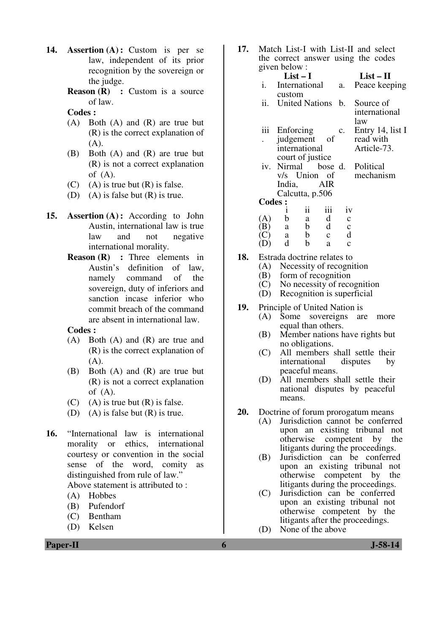- **14. Assertion (A) :** Custom is per se law, independent of its prior recognition by the sovereign or the judge.
	- **Reason (R) :** Custom is a source of law.
	- **Codes :**
	- (A) Both (A) and (R) are true but (R) is the correct explanation of (A).
	- (B) Both (A) and (R) are true but (R) is not a correct explanation of  $(A)$ .
	- (C) (A) is true but  $(R)$  is false.
	- (D) (A) is false but (R) is true.
- **15. Assertion (A) :** According to John Austin, international law is true law and not negative international morality.
	- **Reason (R) :** Three elements in Austin's definition of law, namely command of the sovereign, duty of inferiors and sanction incase inferior who commit breach of the command are absent in international law.

### **Codes :**

- (A) Both (A) and (R) are true and (R) is the correct explanation of  $(A)$ .
- (B) Both (A) and (R) are true but (R) is not a correct explanation of  $(A)$ .
- (C) (A) is true but  $(R)$  is false.
- (D) (A) is false but (R) is true.
- **16.** "International law is international morality or ethics, international courtesy or convention in the social sense of the word, comity as distinguished from rule of law." Above statement is attributed to :
	- (A) Hobbes
	- (B) Pufendorf
	- (C) Bentham
	- (D) Kelsen

**17.** Match List-I with List-II and select the correct answer using the codes given below :

|         | $\mu$ <sub>ki</sub> vclum. |                   |                   |                  |                                 |
|---------|----------------------------|-------------------|-------------------|------------------|---------------------------------|
|         | $List-I$                   |                   |                   |                  | $List-II$                       |
| i.      | International a.           |                   |                   |                  | Peace keeping                   |
|         | custom                     |                   |                   |                  |                                 |
|         |                            |                   |                   |                  | ii. United Nations b. Source of |
|         |                            |                   |                   |                  | international                   |
|         |                            |                   |                   |                  | law                             |
|         | iii Enforcing              |                   |                   | c.               | Entry 14, list I                |
|         | judgement                  |                   | -of               |                  | read with                       |
|         | international              |                   |                   |                  | Article-73.                     |
|         | court of justice           |                   |                   |                  |                                 |
|         |                            |                   |                   |                  | iv. Nirmal bose d. Political    |
|         |                            |                   |                   |                  | v/s Union of mechanism          |
|         | India, AIR                 |                   |                   |                  |                                 |
|         | Calcutta, p.506            |                   |                   |                  |                                 |
| Codes : |                            |                   |                   |                  |                                 |
|         | Ť                          | $\ddot{\rm n}$    | iii               | iv               |                                 |
| A)      | b                          | a                 | $\,$ d $\,$       | $\mathbf c$      |                                 |
| B.      | a                          |                   | b d               | $\mathbf C$      |                                 |
|         | a<br>d                     | $\mathbf{b}$<br>b | $\mathbf{C}$<br>a | d<br>$\mathbf c$ |                                 |
|         |                            |                   |                   |                  |                                 |

- **18.** Estrada doctrine relates to<br>(A) Necessity of recogni
	- Necessity of recognition
	- (B) form of recognition
	- (C) No necessity of recognition
	- (D) Recognition is superficial
- **19.** Principle of United Nation is
	- (A) Some sovereigns are more equal than others.
	- (B) Member nations have rights but no obligations.
	- (C) All members shall settle their<br>international disputes by international disputes peaceful means.
	- (D) All members shall settle their national disputes by peaceful means.
- **20.** Doctrine of forum prorogatum means
	- (A) Jurisdiction cannot be conferred upon an existing tribunal not otherwise competent by the litigants during the proceedings.
	- (B) Jurisdiction can be conferred upon an existing tribunal not otherwise competent by the litigants during the proceedings.
	- (C) Jurisdiction can be conferred upon an existing tribunal not otherwise competent by the litigants after the proceedings.
	- (D) None of the above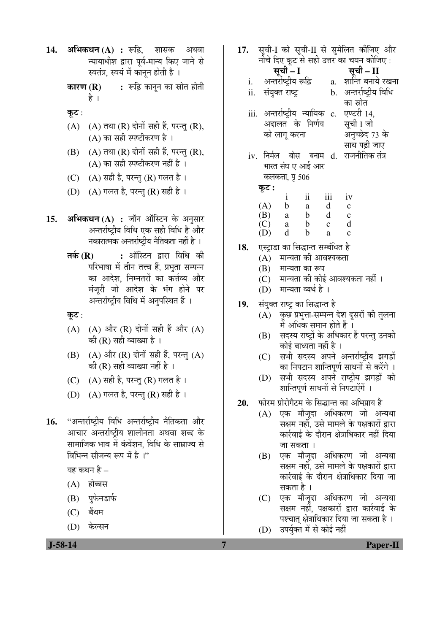- **14. अभिकथन (A) :** रूढि. शासक अथवा न्यायाधीश द्वारा पूर्व-मान्य किए जाने से स्वतंत्र, स्वयं में कानून होती है ।
	- **कारण (R) :** रूढ़ि कानून का स्रोत होती है ।
	- कूट:
	- $(A)$   $(A)$  तथा  $(R)$  दोनों सही हैं, परन्तु  $(R)$ , (A) का सही स्पष्टीकरण है $\perp$
	- $(B)$   $(A)$  तथा  $(R)$  दोनों सही हैं, परन्तु  $(R)$ , (A) का सही स्पष्टीकरण नहीं है $\,$ ।
	- (C)  $(A)$  सही है, परन्तु (R) गलत है।
	- (D)  $(A)$  गलत है, परन्तु (R) सही है ।
- 15. **अभिकथन (A) :** जॉन ऑस्टिन के अनुसार अन्तर्राष्ट्रीय विधि एक सही विधि है और नकारात्मक अन्तर्राष्ट्रीय नैतिकता नहीं है ।
	- **तर्क (R) :** ऑस्टिन द्वारा विधि की परिभाषा में तीन तत्त्व हैं, प्रभृता सम्पन्न का आदेश, निम्नतरों का कर्त्तव्य और मंजुरी जो आदेश के भंग होने पर अन्तर्राष्ट्रीय विधि में अनुपस्थित हैं ।
	- कूट:
	- $(A)$   $(A)$  और  $(R)$  दोनों सही हैं और  $(A)$ की ( $R$ ) सही व्याख्या है ।
	- $(B)$   $(A)$  और  $(R)$  दोनों सही हैं, परन्तु  $(A)$ की  $(R)$  सही व्याख्या नहीं है ।
	- (C)  $(A)$  सही है, परन्तु (R) गलत है ।
	- (D)  $(A)$  गलत है, परन्तु (R) सही है ।
- 1**6.** "अन्तर्राष्ट्रीय विधि अन्तर्राष्ट्रीय नैतिकता और आचार अन्तर्राष्ट्रीय शालीनता अथवा शब्द के सामाजिक भाव में कंवेंशन. विधि के साम्राज्य से विभिन्न सौजन्य रूप में है<sup>।</sup>''

यह कथन है $-$ 

- $(A)$  होब्बस
- (B) पुफेनडार्फ
- $(C)$  बैंथम
- (D) केल्सन

- 17. सूची-I को सूची-II से सुमेलित कीजिए और नीचे दिए कुट से सही उत्तर का चयन कीजिए : ÃÖæ"Öß **– I** ÃÖæ"Öß **– II**  i. अन्तर्राष्टीय रूढि a. शान्ति बनाये रखना ii. संयुक्त राष्ट्र b. अन्तर्राष्ट्रीय विधि का स्रोत iii. अन्तर्राष्ट्रीय न्यायिक c. अदालत के निर्णय को लागू करना एण्टरी 14, सची I जो अनुच्छेद 73 के साथ पढी जाए iv. निर्मल बोस बनाम d. राजनीतिक-तंत्र भारत संघ ए आई आर कलकत्ता, **प्र** 506 कट : i ii iii iv  $(A)$  b a d c<br>  $(B)$  a b d c (B) a b d c  $(C)$  a b c d<br> $(D)$  d b a c  $(D)$  d b a c 18. एस्ट्राडा का सिद्धान्त सम्बंधित है  $(A)$  नान्यता की आवश्यकता  $(B)$  मान्यता का रूप (C)  $\vec{v}$  मान्यता की कोई आवश्यकता नहीं । (D) मान्यता व्यर्थ है । 19. संयुक्त राष्ट्र का सिद्धान्त है (A) कुछ प्रभुत्ता-सम्पन्न देश दूसरों की तुलना में अधिक समान होते हैं । (B) सदस्य राष्ट्रों के अधिकार हैं परन्तु उनकी कोई बाध्यता नहीं है । (C) सभी सदस्य अपने अन्तर्राष्ट्रीय झगड़ों का निपटान शान्तिपूर्ण साधनों से करेंगे । (D) सभी सदस्य अपने राष्ट्रीय झगड़ों को शान्तिपूर्ण साधनों से निपटाऐंगें । 20. µोरम प्रोरोगैटम के सिद्धान्त का अभिप्राय है (A) एक मौजूदा अधिकरण जो अन्यथा सक्षम नहीं. उसे मामले के पक्षकारों द्रारा कार्रवाई के दौरान क्षेत्राधिकार नहीं दिया जा सकता । (B) एक मौजूदा अधिकरण जो अन्यथा सक्षम नहीं. उसे मामले के पक्षकारों द्वारा कार्रवाई के दौरान क्षेत्राधिकार दिया जा सकता है ।
	- (C) एक मौजूदा अधिकरण जो अन्यथा सक्षम नहीं. पक्षकारों द्वारा कार्रवाई के पश्चात क्षेत्राधिकार दिया जा सकता है ।
	- (D) उपर्युक्त में से कोई नहीं

 **J-58-14 7 Paper-II**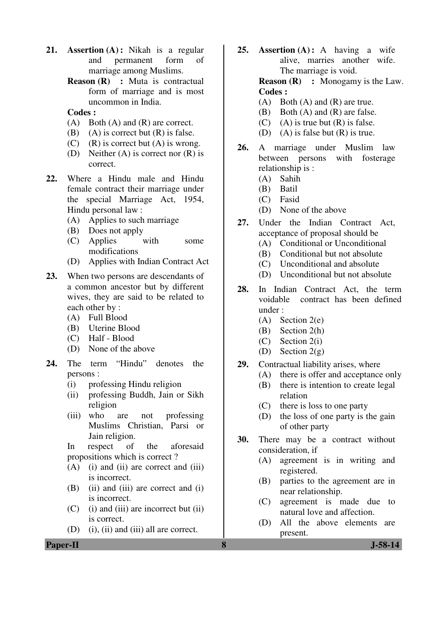- **21. Assertion (A) :** Nikah is a regular and permanent form of marriage among Muslims.
	- **Reason (R) :** Muta is contractual form of marriage and is most uncommon in India.

## **Codes :**

- (A) Both (A) and (R) are correct.
- (B) (A) is correct but  $(R)$  is false.
- (C) (R) is correct but  $(A)$  is wrong.
- (D) Neither (A) is correct nor (R) is correct.
- **22.** Where a Hindu male and Hindu female contract their marriage under the special Marriage Act, 1954, Hindu personal law :
	- (A) Applies to such marriage
	- (B) Does not apply
	- (C) Applies with some modifications
	- (D) Applies with Indian Contract Act
- **23.** When two persons are descendants of a common ancestor but by different wives, they are said to be related to each other by :
	- (A) Full Blood
	- (B) Uterine Blood
	- (C) Half Blood
	- (D) None of the above
- **24.** The term "Hindu" denotes the persons :
	- (i) professing Hindu religion
	- (ii) professing Buddh, Jain or Sikh religion
	- (iii) who are not professing Muslims Christian, Parsi or Jain religion.
	- In respect of the aforesaid propositions which is correct ?
	- $(A)$  (i) and (ii) are correct and (iii) is incorrect.
	- $(B)$  (ii) and (iii) are correct and (i) is incorrect.
	- $(C)$  (i) and (iii) are incorrect but (ii) is correct.
	- (D) (i), (ii) and (iii) all are correct.

**Paper-II 8 J-58-14** 

**25. Assertion (A) :** A having a wife alive, marries another wife. The marriage is void.

**Reason (R) :** Monogamy is the Law. **Codes :** 

- (A) Both (A) and (R) are true.
- (B) Both (A) and (R) are false.
- (C) (A) is true but  $(R)$  is false.
- (D) (A) is false but  $(R)$  is true.
- **26.** A marriage under Muslim law between persons with fosterage relationship is :
	- (A) Sahih
	- (B) Batil
	- (C) Fasid
	- (D) None of the above
- **27.** Under the Indian Contract Act, acceptance of proposal should be
	- (A) Conditional or Unconditional
	- (B) Conditional but not absolute
	- (C) Unconditional and absolute
	- (D) Unconditional but not absolute
- **28.** In Indian Contract Act, the term voidable contract has been defined under :
	- (A) Section 2(e)
	- (B) Section 2(h)
	- (C) Section 2(i)
	- (D) Section 2(g)
- **29.** Contractual liability arises, where
	- (A) there is offer and acceptance only
	- (B) there is intention to create legal relation
	- (C) there is loss to one party
	- (D) the loss of one party is the gain of other party
- **30.** There may be a contract without consideration, if
	- (A) agreement is in writing and registered.
	- (B) parties to the agreement are in near relationship.
	- (C) agreement is made due to natural love and affection.
	- (D) All the above elements are present.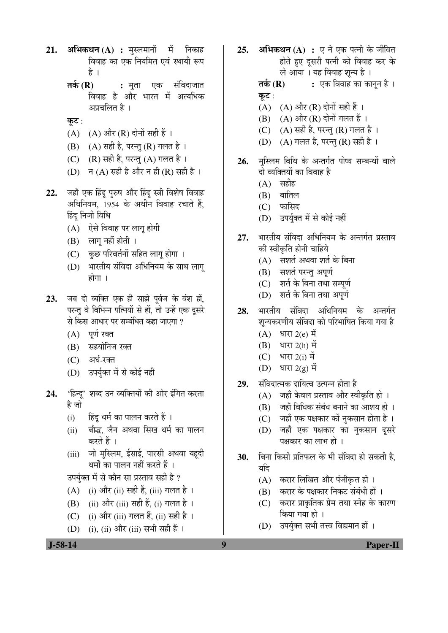- **21. अभिकथन (A) :** मुस्लमानों में निकाह विवाह का एक नियमित एवं स्थायी रूप है ।
	- **तर्क (R) :** मुता एक संविदाजात <u>विवाह है और भारत में अत्यधिक</u> अप्रचलित है ।
	- कूट:
	- $(A)$   $(A)$  और  $(R)$  दोनों सही हैं।
	- $(B)$   $(A)$  सही है, परन्तु  $(R)$  गलत है।
	- $(C)$   $(R)$  सही है, परन्तु  $(A)$  गलत है।
	- (D) न (A) सही है और न ही (R) सही है।
- 22. जहाँ एक हिंदू पुरुष और हिंदू स्त्री विशेष विवाह अधिनियम. 1954 के अधीन विवाह रचाते हैं. हिंद निजी विधि
	- (A) ऐसे विवाह पर लागू होगी
	- (B) लागू नहीं होती ।
	- (C) कुछ परिवर्तनों सहित लागू होगा ।
	- (D) भारतीय संविदा अधिनियम के साथ लाग् होगा $\pm$
- 23. जब दो व्यक्ति एक ही साझे पूर्वज के वंश हों, परन्तु वे विभिन्न पत्नियों से हों, तो उन्हें एक दुसरे से किस आधार पर सम्बंधित कहा जाएगा ?
	- $(A)$  पूर्ण रक्त
	- (B) सहयोनिज रक्त
	- (C) अर्ध-रक्त
	- (D) उपर्युक्त में से कोई नहीं
- 24. 'हिन्दू' शब्द उन व्यक्तियों की ओर इंगित करता है जो
	- (i) हिंदु धर्म का पालन करते हैं ।
	- (ii) । बौद्ध, जैन अथवा सिख धर्म का पालन करते हैं ।
	- (iii) जो मुस्लिम, ईसाई, पारसी अथवा यहूदी धर्मों का पालन नहीं करते हैं ।

उपर्युक्त में से कौन सा प्रस्ताव सही है ?

- $(A)$  (i) और (ii) सही हैं, (iii) गलत है।
- (B) (ii) और (iii) सही हैं, (i) गलत है ।
- (C) (i) और (iii) गलत हैं, (ii) सही है ।
- (D) (i), (ii) और (iii) सभी सही हैं ।

25. **अभिकथन (A) :** ए ने एक पत्नी के जीवित होते हुए दूसरी पत्नी को विवाह कर के ले आया । यह विवाह शुन्य है ।

**तर्क (R) :** एक विवाह का कानुन है । कूट $:$ 

- $(A)$   $(A)$  और  $(R)$  दोनों सही हैं ।
- $(B)$   $(A)$  और  $(R)$  दोनों गलत हैं।
- (C)  $(A)$  सही है, परन्तु (R) गलत है।
- (D) (A) गलत है, परन्तु (R) सही है।
- 26. मस्लिम विधि के अन्तर्गत पोष्य सम्बन्धों वाले दो व्यक्तियों का विवाह है
	- $(A)$  सहीह
	- $(B)$  बातिल
	- $(C)$  फासिद
	- (D) उपर्युक्त में से कोई नहीं
- 27. भारतीय संविदा अधिनियम के अन्तर्गत प्रस्ताव की स्वीकृति होनी चाहिये
	- $(A)$  सशर्त अथवा शर्त के बिना
	- (B) सशर्त परन्तु अपूर्ण
	- (C) शर्त के बिना तथा सम्पूर्ण
	- (D) शर्त के बिना तथा अपूर्ण
- 28. भारतीय संविदा अधिनियम के अन्तर्गत शुन्यकरणीय संविदा को परिभाषित किया गया है
	- (A) धारा  $2(e)$  में
	- $(B)$  धारा 2(h) में
	- (C) धारा  $2(i)$  में
	- (D) धारा  $2(g)$  में
- 29. संविदात्मक दायित्व उत्पन्न होता है
	- (A) जहाँ केवल प्रस्ताव और स्वीकृति हो ।
	- (B) जहाँ विधिक संबंध बनाने का आशय हो ।
	- (C) जहाँ एक पक्षकार कों नुकसान होता है।
	- (D) जहाँ एक पक्षकार का नुकसान दूसरे पक्षकार का लाभ हो ।
- **30.** बिना किसी प्रतिफल के भी संविदा हो सकती है. यदि
	- (A) करार लिखित और पंजीकृत हो ।
	- (B) करार के पक्षकार निकट संबंधी हों ।
	- (C) करार प्राकृतिक प्रेम तथा स्नेह के कारण किया गया हो ।
	- (D) उपर्युक्त सभी तत्त्व विद्यमान हों ।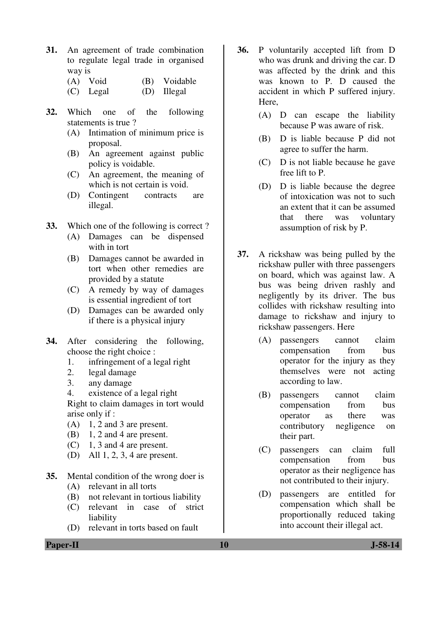- **31.** An agreement of trade combination to regulate legal trade in organised way is
	- (A) Void (B) Voidable
	- (C) Legal (D) Illegal
- **32.** Which one of the following statements is true ?
	- (A) Intimation of minimum price is proposal.
	- (B) An agreement against public policy is voidable.
	- (C) An agreement, the meaning of which is not certain is void.
	- (D) Contingent contracts are illegal.
- **33.** Which one of the following is correct ?
	- (A) Damages can be dispensed with in tort
	- (B) Damages cannot be awarded in tort when other remedies are provided by a statute
	- (C) A remedy by way of damages is essential ingredient of tort
	- (D) Damages can be awarded only if there is a physical injury
- **34.** After considering the following, choose the right choice :
	- 1. infringement of a legal right
	- 2. legal damage
	- 3. any damage

 4. existence of a legal right Right to claim damages in tort would arise only if :

- $(A)$  1, 2 and 3 are present.
- (B) 1, 2 and 4 are present.
- (C) 1, 3 and 4 are present.
- (D) All 1, 2, 3, 4 are present.
- **35.** Mental condition of the wrong doer is
	- (A) relevant in all torts
	- (B) not relevant in tortious liability
	- (C) relevant in case of strict liability
	- (D) relevant in torts based on fault
- **36.** P voluntarily accepted lift from D who was drunk and driving the car. D was affected by the drink and this was known to P. D caused the accident in which P suffered injury. Here,
	- (A) D can escape the liability because P was aware of risk.
	- (B) D is liable because P did not agree to suffer the harm.
	- (C) D is not liable because he gave free lift to P.
	- (D) D is liable because the degree of intoxication was not to such an extent that it can be assumed that there was voluntary assumption of risk by P.
- **37.** A rickshaw was being pulled by the rickshaw puller with three passengers on board, which was against law. A bus was being driven rashly and negligently by its driver. The bus collides with rickshaw resulting into damage to rickshaw and injury to rickshaw passengers. Here
	- (A) passengers cannot claim compensation from bus operator for the injury as they themselves were not acting according to law.
	- (B) passengers cannot claim compensation from bus operator as there was contributory negligence on their part.
	- (C) passengers can claim full compensation from bus operator as their negligence has not contributed to their injury.
	- (D) passengers are entitled for compensation which shall be proportionally reduced taking into account their illegal act.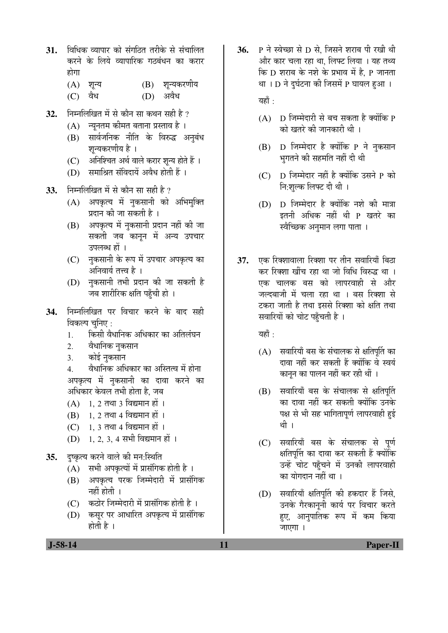- 31. विधिक व्यापार को संगठित तरीके से संचालित करने के लिये व्यापारिक गठबंधन का करार होगा
	- $(A)$  शून्य  $(B)$  शून्यकरणीय
	- (C) वैध (D) अवैध
- 32. निम्नलिखित में से कौन सा कथन सही है ?
	- (A) न्युनतम कीमत बताना प्रस्ताव है ।
	- (B) सार्वजनिक नीति के विरुद्ध अनुबंध शून्यकरणीय है ।
	- (C) । अनिश्चित अर्थ वाले करार शन्य होते हैं ।
	- $(D)$  समाश्रित संविदायें अवैध होती हैं ।
- 33. निम्नलिखित में से कौन सा सही है ?
	- $(A)$  अपकृत्य में नुकसानी को अभिमुक्ति प्रदान की जा सकती है ।
	- (B) अपकृत्य में नुकसानी प्रदान नहीं की जा सकती जब कानुन में अन्य उपचार उपलब्ध हों ।
	- (C) नकसानी के रूप में उपचार अपकृत्य का अनिवार्य तत्त्व है ।
	- (D) नुकसानी तभी प्रदान की जा सकती है जब शारीरिक क्षति पहुँची हो ।
- **34.** ×®Ö´®Ö×»Ö×ÜÖŸÖ ¯Ö¸ü ×¾Ö"ÖÖ¸ü Ûú¸ü®Öê Ûêú ²ÖÖ¤ü ÃÖÆüß विकल्प चुनिए :
	- 1. किसी वैधानिक अधिकार का अतिलंघन
	- 2. वैधानिक नुकसान
	- 3. कोई नुकसान
	- 4. वैधानिक अधिकार का अस्तित्व में होना अपकृत्य में नुकसानी का दावा करने का अधिकार केवल तभी होता है, जब
	- $(A)$  1, 2 तथा 3 विद्यमान हों ।
	- $(B)$  1, 2 तथा 4 विद्यमान हों ।
	- $(C)$  1, 3 तथा 4 विद्यमान हों ।
	- $(D)$  1, 2, 3, 4 सभी विद्यमान हों ।
- **35.** दुष्कृत्य करने वाले की मन:स्थिति
	- $(A)$  सभी अपकृत्यों में प्रासंगिक होती है।
	- (B) अपकृत्य परक जिम्मेदारी में प्रासंगिक नहीं होती ।
	- (C) कठोर जिम्मेदारी में प्रासंगिक होती है)।
	- (D) कसुर पर आधारित अपकृत्य में प्रासंगिक होती है $\perp$

**36.** P ने स्वेच्छा से D से. जिसने शराब पी रखी थी और कार चला रहा था. लिफ्ट लिया । यह तथ्य & D शराब के नशे के प्रभाव में है. P जानता था । D ने दुर्घटना की जिसमें P घायल हुआ ।

यहाँ :

- $(A)$  D जिम्मेदारी से बच सकता है क्योंकि P को खतरे की जानकारी थी ।
- $(B)$  D जिम्मेदार है क्योंकि P ने नकसान भुगतने की सहमति नहीं दी थी
- (C) D जिम्मेदार नहीं है क्योंकि उसने P को नि:शल्क लिफ्ट दी थी ।
- $(D)$  D जिम्मेदार है क्योंकि नशे की मात्रा इतनी अधिक नहीं थी P खतरे का स्वैच्छिक अनमान लगा पाता ।
- 37. **एक रिक्शावाला रिक्शा पर तीन सवारियाँ** बिठा कर रिक्शा खींच रहा था जो विधि विरुद्ध था । एक चालक बस को लापरवाही से और जल्दबाजी में चला रहा था । बस रिक्शा से टकरा जाती है तथा इससे रिक्शा को क्षति तथा सवारियों को चोट पहुँचती है ।

यहाँ $\, \cdot \,$ 

- $(A)$  सवारियाँ बस के संचालक से क्षतिपर्ति का दावा नहीं कर सकती हैं क्योंकि वे स्वयं कानुन का पालन नहीं कर रही थीं ।
- (B) सवारियाँ बस के संचालक से क्षतिपूर्ति का दावा नहीं कर सकती क्योंकि उनके पक्ष से भी सह भागितापूर्ण लापरवाही हुई थी ।
- (C) सवारियाँ बस के संचालक से पूर्ण क्षतिपूर्त्ति का दावा कर सकती हैं क्योंकि उन्हें चोट पहुँचने में उनकी लापरवाही का योगदान नहीं था ।
- (D) सवारियाँ क्षतिपूर्ति की हकदार हैं जिसे, उनके गैरकानूनी कार्य पर विचार करते हुए, आनुपातिक रूप में कम किया जाएगा ।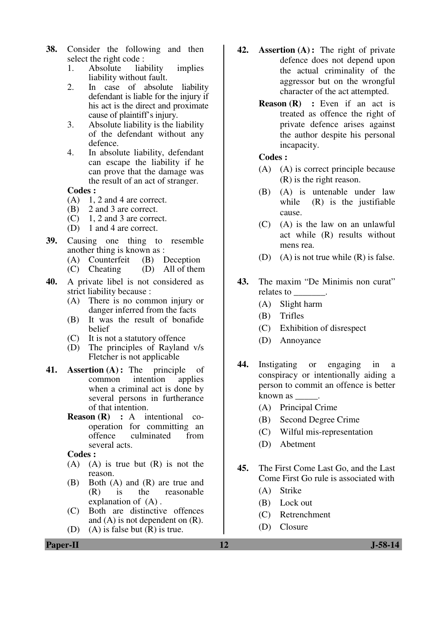- **38.** Consider the following and then select the right code :
	- 1. Absolute liability implies liability without fault.
	- 2. In case of absolute liability defendant is liable for the injury if his act is the direct and proximate cause of plaintiff's injury.
	- 3. Absolute liability is the liability of the defendant without any defence.
	- 4. In absolute liability, defendant can escape the liability if he can prove that the damage was the result of an act of stranger.

#### **Codes :**

- $(A)$  1, 2 and 4 are correct.
- (B) 2 and 3 are correct.
- $(C)$  1, 2 and 3 are correct.
- (D) 1 and 4 are correct.
- **39.** Causing one thing to resemble another thing is known as :
	- (A) Counterfeit (B) Deception<br>(C) Cheating (D) All of then
	- $(D)$  All of them
- **40.** A private libel is not considered as strict liability because :
	- (A) There is no common injury or danger inferred from the facts
	- (B) It was the result of bonafide belief
	- (C) It is not a statutory offence
	- (D) The principles of Rayland v/s Fletcher is not applicable
- **41. Assertion (A) :** The principle of common intention applies when a criminal act is done by several persons in furtherance of that intention.
	- **Reason (R) :** A intentional cooperation for committing an<br>offence culminated from culminated from several acts.

**Codes :** 

- $(A)$   $(A)$  is true but  $(R)$  is not the reason.
- (B) Both (A) and (R) are true and (R) is the reasonable explanation of (A) .
- (C) Both are distinctive offences and (A) is not dependent on (R).
- (D) (A) is false but (R) is true.
- **42. Assertion (A) :** The right of private defence does not depend upon the actual criminality of the aggressor but on the wrongful character of the act attempted.
	- **Reason (R) :** Even if an act is treated as offence the right of private defence arises against the author despite his personal incapacity.

## **Codes :**

- (A) (A) is correct principle because (R) is the right reason.
- (B) (A) is untenable under law while (R) is the justifiable cause.
- (C) (A) is the law on an unlawful act while (R) results without mens rea.
- (D) (A) is not true while  $(R)$  is false.
- **43.** The maxim "De Minimis non curat" relates to \_\_\_\_\_\_\_.
	- (A) Slight harm
	- (B) Trifles
	- (C) Exhibition of disrespect
	- (D) Annoyance
- **44.** Instigating or engaging in a conspiracy or intentionally aiding a person to commit an offence is better known as \_\_\_\_\_.
	- (A) Principal Crime
	- (B) Second Degree Crime
	- (C) Wilful mis-representation
	- (D) Abetment
- **45.** The First Come Last Go, and the Last Come First Go rule is associated with
	- (A) Strike
	- (B) Lock out
	- (C) Retrenchment
	- (D) Closure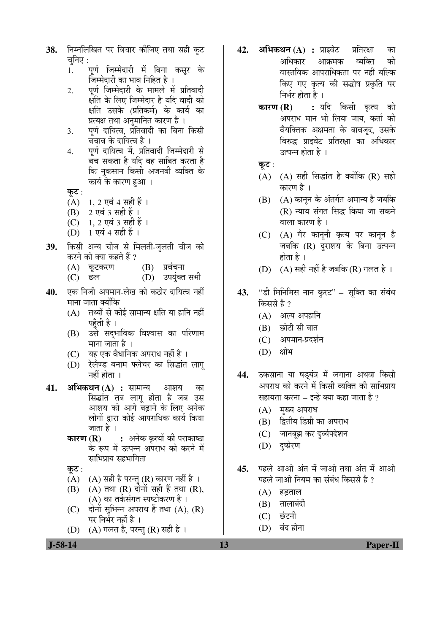- 38. ਜਿਸਕਿਯਿਕ पर विचार कीजिए तथा सही कुट चनिए $:$ 
	- 1. पर्ण जिम्मेदारी में बिना कसुर के जिम्मेदारी का भाव निहित है ।
	- 2. पर्ण जिम्मेदारी के मामले में प्रतिवादी क्षति के लिए जिम्मेदार है यदि वादी को क्षति उसके (प्रतिकर्म) के कार्य का प्रत्यक्ष तथा अनुमानित कारण है ।
	- 3. पर्ण दायित्व, प्रतिवादी का बिना किसी बचाव के दायित्व है ।
	- 4. पर्ण दायित्व में, प्रतिवादी जिम्मेदारी से बँच सकता है यदि वह साबित करता है कि नुकसान किसी अजनबी व्यक्ति के कार्य के कारण हुआ ।
	- कूट:
	- $(A)$  1, 2 एवं 4 सही हैं।
	- $(B)$  2 एवं 3 सही हैं ।
	- $(C)$  1, 2 एवं 3 सही हैं ।
	- $(D)$  1 एवं 4 सही हैं ।
- 39. किसी अन्य चीज से मिलती-जुलती चीज को करने को क्या कहते हैं ?
	- $(A)$  कूटकरण  $(B)$  प्रवंचना
	- (C) छल (D) उपर्युक्त सभी
- **40.** एक निजी अपमान-लेख को कठोर दायित्व नहीं माना जाता क्योंकि
	- $(A)$  तथ्यों से कोई सामान्य क्षति या हानि नहीं पहँती है ।
	- (B) उसे सदुभाविक विश्वास का परिणाम माना जाता है ।
	- (C) यह एक वैधानिक अपराध नहीं है ।
	- (D) रेलैण्ड बनाम फ्लेचर का सिद्धांत लाग् नहीं होता $\perp$
- **41. अभिकथन (A) :** सामान्य आशय का सिद्धांत तब लागू होता है जब उस आशय को आगे बढ़ाने के लिए अनेक लोगों द्वारा कोई आपराधिक कार्य किया जाता है ।
	- **कारण (R) :** अनेक कृत्यों की पराकाष्ठा के रूप में उत्पन्न अपराध को करने में साभिप्राय सहभागिता

कुट $:$ 

- (A) (A) सही है परन्तु (R) कारण नहीं है ।
- $(B)$   $(A)$  तथा  $(R)$  दोनों सही हैं तथा  $(R)$ , (A) का तर्कसंगत स्पष्टीकरण है।
- $(C)$  दोनों सुभिन्न अपराध हैं तथा  $(A)$ ,  $(R)$ पर निर्भर नहीं है ।
- (D)  $(A)$  गलत है, परन्तु (R) सही है ।
- **42. अभिकथन (A) :** प्राइवेट प्रतिरक्षा का अधिकार आक्रमक व्यक्ति की वास्तविक आपराधिकता पर नहीं बल्कि किए गए कृत्य की सद्धोष प्रकृति पर निर्भर होता है ।
	- **कारण (R) :** यदि किसी कृत्य को अपराध मान भी लिया जाय, कर्ता की वैयक्तिक अक्षमता के बावजूद, उसके विरुद्ध प्राइवेट प्रतिरक्षा का अधिकार उत्पन्न होता है $\perp$
	- कूट $:$
	- $(A)$   $(A)$  सही सिद्धांत है क्योंकि  $(R)$  सही कारण है ।
	- $(B)$   $(A)$  कानून के अंतर्गत अमान्य है जबकि  $(R)$  न्याय संगत सिद्ध किया जा सकने <u>वाला कारण है ।</u>
	- (C) (A) गैर कानूनी कृत्य पर कानून है जबकि (R) दराशय के बिना उत्पन्न होता है $\perp$
	- (D)  $(A)$  सही नहीं है जबकि (R) गलत है ।
- 43. "डी मिनिमिस नान करट" सक्ति का संबंध किससे है ?
	- $(A)$  अल्प अपहानि
	- $(B)$  छोटी सी बात
	- (C) अपमान-प्रदर्शन
	- (D) क्षोभ
- 44. उकसाना या षडयंत्र में लगाना अथवा किसी अपराध को करने में किसी व्यक्ति की साभिप्राय सहायता करना – इन्हें क्या कहा जाता है ?
	- $(A)$  मृख्य अपराध
	- (B) द्वितीय डिग्री का अपराध
	- (C) जानबूझ कर दुर्व्यपदेशन
	- (D) दृष्प्रेरण
- 45. पहले आओ अंत में जाओ तथा अंत में आओ पहले जाओ नियम का संबंध किससे है ?
	- $(A)$  हडताल
	- $(B)$  तालाबंदी
	- (C) छंटनी
	- (D) बंद होना

 **J-58-14 13 Paper-II**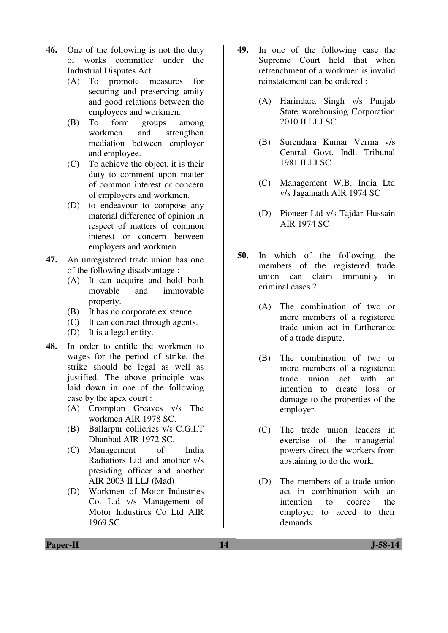- **46.** One of the following is not the duty of works committee under the Industrial Disputes Act.
	- (A) To promote measures for securing and preserving amity and good relations between the employees and workmen.
	- (B) To form groups among workmen and strengthen mediation between employer and employee.
	- (C) To achieve the object, it is their duty to comment upon matter of common interest or concern of employers and workmen.
	- (D) to endeavour to compose any material difference of opinion in respect of matters of common interest or concern between employers and workmen.
- **47.** An unregistered trade union has one of the following disadvantage :
	- (A) It can acquire and hold both movable and immovable property.
	- (B) It has no corporate existence.
	- (C) It can contract through agents.
	- (D) It is a legal entity.
- **48.** In order to entitle the workmen to wages for the period of strike, the strike should be legal as well as justified. The above principle was laid down in one of the following case by the apex court :
	- (A) Crompton Greaves v/s The workmen AIR 1978 SC.
	- (B) Ballarpur collieries v/s C.G.I.T Dhanbad AIR 1972 SC.
	- (C) Management of India Radiatiors Ltd and another v/s presiding officer and another AIR 2003 II LLJ (Mad)
	- (D) Workmen of Motor Industries Co. Ltd v/s Management of Motor Industires Co Ltd AIR 1969 SC.
- **49.** In one of the following case the Supreme Court held that when retrenchment of a workmen is invalid reinstatement can be ordered :
	- (A) Harindara Singh v/s Punjab State warehousing Corporation 2010 II LLJ SC
	- (B) Surendara Kumar Verma v/s Central Govt. Indl. Tribunal 1981 ILLJ SC
	- (C) Management W.B. India Ltd v/s Jagannath AIR 1974 SC
	- (D) Pioneer Ltd v/s Tajdar Hussain AIR 1974 SC
- **50.** In which of the following, the members of the registered trade union can claim immunity in criminal cases ?
	- (A) The combination of two or more members of a registered trade union act in furtherance of a trade dispute.
	- (B) The combination of two or more members of a registered trade union act with an intention to create loss or damage to the properties of the employer.
	- (C) The trade union leaders in exercise of the managerial powers direct the workers from abstaining to do the work.
	- (D) The members of a trade union act in combination with an intention to coerce the employer to acced to their demands.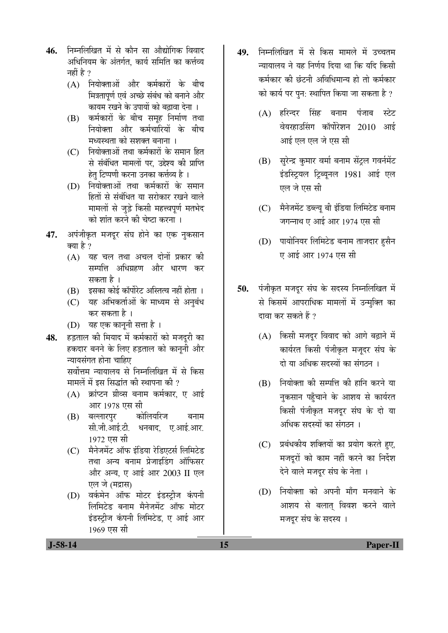- 46. निम्नलिखित में से कौन सा औद्योगिक विवाद अधिनियम के अंतर्गत. कार्य समिति का कर्त्तव्य नहीं है  $\gamma$ 
	- $(A)$  नियोक्ताओं और कर्मकारों के बीच मित्रतापर्ण एवं अच्छे संबंध को बनाने और कायम रखने के उपायों को बढ़ावा देना ।
	- (B) कर्मकारों के बीच समूह निर्माण तथा नियोक्ता और कर्मचारियों के बीच मध्यस्थता को सशक्त बनाना ।
	- $(C)$  नियोक्ताओं तथा कर्मकारों के समान हित से संबंधित मामलों पर. उद्देश्य की प्राप्ति हेत् टिप्पणी करना उनका कर्त्तव्य है ।
	- (D) नियोक्ताओं तथा कर्मकारों के समान हितों से संबंधित या सरोकार रखने वाले मामलों से जुड़े किसी महत्त्वपूर्ण मतभेद <u>को शांत करने की चेष्टा करना ।</u>
- 47. अपंजीकृत मजदुर संघ होने का एक नुकसान क्या है ?
	- (A) यह चल तथा अचल दोनों प्रकार की सम्पत्ति अधिग्रहण और धारण कर सकता है ।
	- $(B)$   $\bar{z}$ सका कोई कॉर्पोरेट अस्तित्व नहीं होता ।
	- (C) यह अभिकर्ताओं के माध्यम से अनुबंध कर सकता है ।
	- (D) यह एक काननी सत्ता है)।
- 48. हड़ताल की मियाद में कर्मकारों को मजदूरी का हकदार बनने के लिए हड़ताल को कानूनी और च्यायसंगत होना चाहिए

सर्वोत्तम न्यायालय से निम्नलिखित में से किस मामलें में इस सिद्धांत की स्थापना की ?

- $(A)$  क्रांप्टन ग्रीव्स बनाम कर्मकार, ए आई आर 1978 एस सी
- (B) बल्लारपुर कोलियरिज बनाम सी.जी.आई.टी. धनबाद. ए.आई.आर. 1972 एस सी
- (C) मैनेजमेंट ऑफ इंडिया रेडिएटर्स लिमिटेड तथा अन्य बनाम प्रेजाइडिंग ऑफिसर और अन्य, ए आई आर 2003 II एल एल जे (मद्रास)
- (D) वर्कमेन ऑफ मोटर इंडस्ट्रीज कंपनी लिमिटेड बनाम मैनेजमेंट ऑफ मोटर इंडस्ट्रीज कंपनी लिमिटेड, ए आई आर 1969 एस सी
- 49. निम्नलिखित में से किस मामले में उच्चतम <u>न्यायालय ने यह निर्णय दिया था कि यदि किसी</u> कर्मकार की छंटनी अविधिमान्य हो तो कर्मकार को कार्य पर पुन: स्थापित किया जा सकता है ?
	- (A) हरिन्दर सिंह बनाम पंजाब स्टेट वेयरहाउसिंग कॉर्पोरेशन 2010 आई आई एल एल जे एस सी
	- (B) सुरेन्द्र कुमार वर्मा बनाम सेंट्रल गवर्नमेंट इंडस्ट्रियल ट्रिब्यूनल 1981 आई एल एल जे एस सी
	- (C) मैनेजमेंट डब्ल्यू बी इंडिया लिमिटेड बनाम जगन्नाथ ए आई आर 1974 एस सी
	- (D) पायोनियर लिमिटेड बनाम ताजदार हुसैन ए आई आर 1974 एस सी
- 50. पंजीकृत मजदूर संघ के सदस्य निम्नलिखित में से किसमें आपराधिक मामलों में उन्मुक्ति का दावा कर सकते हैं ?
	- $(A)$  किसी मजदुर विवाद को आगे बढ़ाने में कार्यरत किसी पंजीकृत मज़दर संघ के दो या अधिक सदस्यों का संगठन**।**
	- $(B)$  नियोक्ता की सम्पत्ति की हानि करने या नुकसान पहुँचाने के आशय से कार्यरत किसी पंजीकृत मजदर संघ के दो या अधिक सदस्यों का संगठन ।
	- (C) प्रबंधकीय शक्तियों का प्रयोग करते हुए, मजदूरों को काम नहीं करने का निर्द<mark>े</mark>श देने वाले मजदूर संघ के नेता ।
	- $(D)$  नियोक्ता को अपनी माँग मनवाने के आशय से बलात् विवश करने वाले मजदूर संघ के सदस्य ।